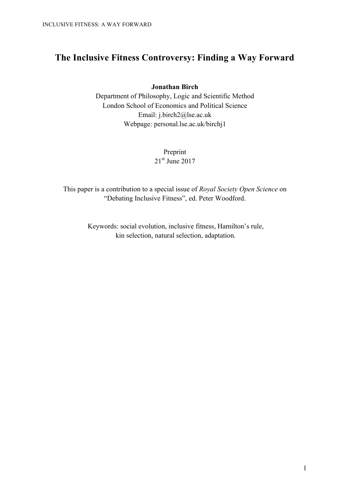# **The Inclusive Fitness Controversy: Finding a Way Forward**

### **Jonathan Birch**

Department of Philosophy, Logic and Scientific Method London School of Economics and Political Science Email: j.birch2@lse.ac.uk Webpage: personal.lse.ac.uk/birchj1

> Preprint  $21<sup>st</sup>$  June 2017

This paper is a contribution to a special issue of *Royal Society Open Science* on "Debating Inclusive Fitness", ed. Peter Woodford.

> Keywords: social evolution, inclusive fitness, Hamilton's rule, kin selection, natural selection, adaptation.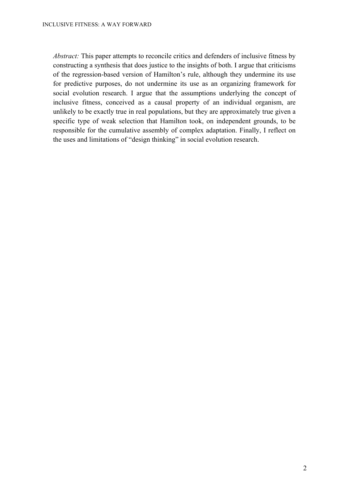*Abstract:* This paper attempts to reconcile critics and defenders of inclusive fitness by constructing a synthesis that does justice to the insights of both. I argue that criticisms of the regression-based version of Hamilton's rule, although they undermine its use for predictive purposes, do not undermine its use as an organizing framework for social evolution research. I argue that the assumptions underlying the concept of inclusive fitness, conceived as a causal property of an individual organism, are unlikely to be exactly true in real populations, but they are approximately true given a specific type of weak selection that Hamilton took, on independent grounds, to be responsible for the cumulative assembly of complex adaptation. Finally, I reflect on the uses and limitations of "design thinking" in social evolution research.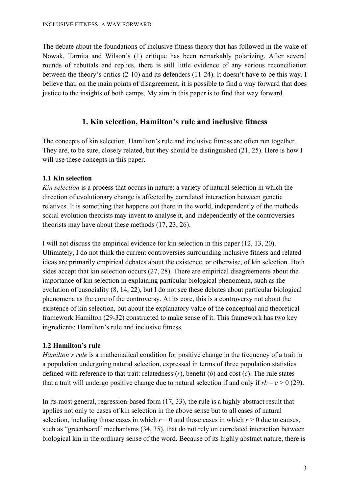The debate about the foundations of inclusive fitness theory that has followed in the wake of Nowak, Tarnita and Wilson's (1) critique has been remarkably polarizing. After several rounds of rebuttals and replies, there is still little evidence of any serious reconciliation between the theory's critics (2-10) and its defenders (11-24). It doesn't have to be this way. I believe that, on the main points of disagreement, it is possible to find a way forward that does justice to the insights of both camps. My aim in this paper is to find that way forward.

## **1. Kin selection, Hamilton's rule and inclusive fitness**

The concepts of kin selection, Hamilton's rule and inclusive fitness are often run together. They are, to be sure, closely related, but they should be distinguished (21, 25). Here is how I will use these concepts in this paper.

### **1.1 Kin selection**

*Kin selection* is a process that occurs in nature: a variety of natural selection in which the direction of evolutionary change is affected by correlated interaction between genetic relatives. It is something that happens out there in the world, independently of the methods social evolution theorists may invent to analyse it, and independently of the controversies theorists may have about these methods (17, 23, 26).

I will not discuss the empirical evidence for kin selection in this paper (12, 13, 20). Ultimately, I do not think the current controversies surrounding inclusive fitness and related ideas are primarily empirical debates about the existence, or otherwise, of kin selection. Both sides accept that kin selection occurs (27, 28). There are empirical disagreements about the importance of kin selection in explaining particular biological phenomena, such as the evolution of eusociality (8, 14, 22), but I do not see these debates about particular biological phenomena as the core of the controversy. At its core, this is a controversy not about the existence of kin selection, but about the explanatory value of the conceptual and theoretical framework Hamilton (29-32) constructed to make sense of it. This framework has two key ingredients: Hamilton's rule and inclusive fitness.

## **1.2 Hamilton's rule**

*Hamilton's rule* is a mathematical condition for positive change in the frequency of a trait in a population undergoing natural selection, expressed in terms of three population statistics defined with reference to that trait: relatedness (*r*), benefit (*b*) and cost (*c*). The rule states that a trait will undergo positive change due to natural selection if and only if  $rb - c > 0$  (29).

In its most general, regression-based form (17, 33), the rule is a highly abstract result that applies not only to cases of kin selection in the above sense but to all cases of natural selection, including those cases in which  $r = 0$  and those cases in which  $r > 0$  due to causes, such as "greenbeard" mechanisms (34, 35), that do not rely on correlated interaction between biological kin in the ordinary sense of the word. Because of its highly abstract nature, there is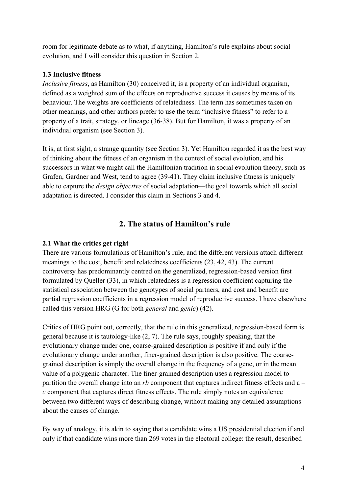room for legitimate debate as to what, if anything, Hamilton's rule explains about social evolution, and I will consider this question in Section 2.

### **1.3 Inclusive fitness**

*Inclusive fitness*, as Hamilton (30) conceived it, is a property of an individual organism, defined as a weighted sum of the effects on reproductive success it causes by means of its behaviour. The weights are coefficients of relatedness. The term has sometimes taken on other meanings, and other authors prefer to use the term "inclusive fitness" to refer to a property of a trait, strategy, or lineage (36-38). But for Hamilton, it was a property of an individual organism (see Section 3).

It is, at first sight, a strange quantity (see Section 3). Yet Hamilton regarded it as the best way of thinking about the fitness of an organism in the context of social evolution, and his successors in what we might call the Hamiltonian tradition in social evolution theory, such as Grafen, Gardner and West, tend to agree (39-41). They claim inclusive fitness is uniquely able to capture the *design objective* of social adaptation—the goal towards which all social adaptation is directed. I consider this claim in Sections 3 and 4.

## **2. The status of Hamilton's rule**

### **2.1 What the critics get right**

There are various formulations of Hamilton's rule, and the different versions attach different meanings to the cost, benefit and relatedness coefficients (23, 42, 43). The current controversy has predominantly centred on the generalized, regression-based version first formulated by Queller (33), in which relatedness is a regression coefficient capturing the statistical association between the genotypes of social partners, and cost and benefit are partial regression coefficients in a regression model of reproductive success. I have elsewhere called this version HRG (G for both *general* and *genic*) (42).

Critics of HRG point out, correctly, that the rule in this generalized, regression-based form is general because it is tautology-like (2, 7). The rule says, roughly speaking, that the evolutionary change under one, coarse-grained description is positive if and only if the evolutionary change under another, finer-grained description is also positive. The coarsegrained description is simply the overall change in the frequency of a gene, or in the mean value of a polygenic character. The finer-grained description uses a regression model to partition the overall change into an *rb* component that captures indirect fitness effects and a – *c* component that captures direct fitness effects. The rule simply notes an equivalence between two different ways of describing change, without making any detailed assumptions about the causes of change.

By way of analogy, it is akin to saying that a candidate wins a US presidential election if and only if that candidate wins more than 269 votes in the electoral college: the result, described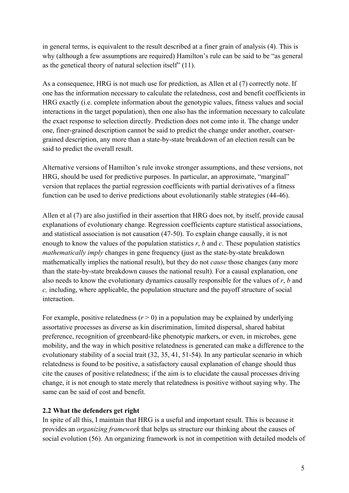in general terms, is equivalent to the result described at a finer grain of analysis (4). This is why (although a few assumptions are required) Hamilton's rule can be said to be "as general as the genetical theory of natural selection itself" (11).

As a consequence, HRG is not much use for prediction, as Allen et al (7) correctly note. If one has the information necessary to calculate the relatedness, cost and benefit coefficients in HRG exactly (i.e. complete information about the genotypic values, fitness values and social interactions in the target population), then one also has the information necessary to calculate the exact response to selection directly. Prediction does not come into it. The change under one, finer-grained description cannot be said to predict the change under another, coarsergrained description, any more than a state-by-state breakdown of an election result can be said to predict the overall result.

Alternative versions of Hamilton's rule invoke stronger assumptions, and these versions, not HRG, should be used for predictive purposes. In particular, an approximate, "marginal" version that replaces the partial regression coefficients with partial derivatives of a fitness function can be used to derive predictions about evolutionarily stable strategies (44-46).

Allen et al (7) are also justified in their assertion that HRG does not, by itself, provide causal explanations of evolutionary change. Regression coefficients capture statistical associations, and statistical association is not causation (47-50). To explain change causally, it is not enough to know the values of the population statistics *r*, *b* and *c*. These population statistics *mathematically imply* changes in gene frequency (just as the state-by-state breakdown mathematically implies the national result), but they do not *cause* those changes (any more than the state-by-state breakdown causes the national result). For a causal explanation, one also needs to know the evolutionary dynamics causally responsible for the values of *r*, *b* and *c,* including, where applicable, the population structure and the payoff structure of social interaction.

For example, positive relatedness  $(r > 0)$  in a population may be explained by underlying assortative processes as diverse as kin discrimination, limited dispersal, shared habitat preference, recognition of greenbeard-like phenotypic markers, or even, in microbes, gene mobility, and the way in which positive relatedness is generated can make a difference to the evolutionary stability of a social trait (32, 35, 41, 51-54). In any particular scenario in which relatedness is found to be positive, a satisfactory causal explanation of change should thus cite the causes of positive relatedness; if the aim is to elucidate the causal processes driving change, it is not enough to state merely that relatedness is positive without saying why. The same can be said of cost and benefit.

### **2.2 What the defenders get right**

In spite of all this, I maintain that HRG is a useful and important result. This is because it provides an *organizing framework* that helps us structure our thinking about the causes of social evolution (56). An organizing framework is not in competition with detailed models of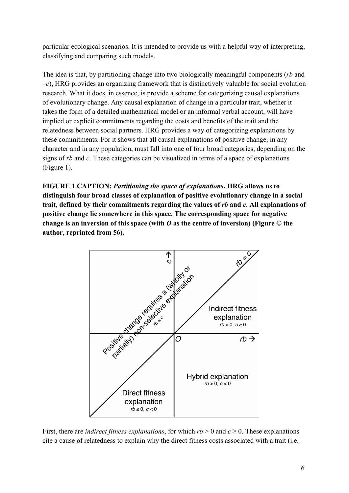particular ecological scenarios. It is intended to provide us with a helpful way of interpreting, classifying and comparing such models.

The idea is that, by partitioning change into two biologically meaningful components (*rb* and –*c*), HRG provides an organizing framework that is distinctively valuable for social evolution research. What it does, in essence, is provide a scheme for categorizing causal explanations of evolutionary change. Any causal explanation of change in a particular trait, whether it takes the form of a detailed mathematical model or an informal verbal account, will have implied or explicit commitments regarding the costs and benefits of the trait and the relatedness between social partners. HRG provides a way of categorizing explanations by these commitments. For it shows that all causal explanations of positive change, in any character and in any population, must fall into one of four broad categories, depending on the signs of *rb* and *c*. These categories can be visualized in terms of a space of explanations (Figure 1).

**FIGURE 1 CAPTION:** *Partitioning the space of explanations***. HRG allows us to distinguish four broad classes of explanation of positive evolutionary change in a social trait, defined by their commitments regarding the values of** *rb* **and** *c***. All explanations of positive change lie somewhere in this space. The corresponding space for negative change is an inversion of this space (with** *O* **as the centre of inversion) (Figure © the author, reprinted from 56).**



First, there are *indirect fitness explanations*, for which  $rb > 0$  and  $c \ge 0$ . These explanations cite a cause of relatedness to explain why the direct fitness costs associated with a trait (i.e.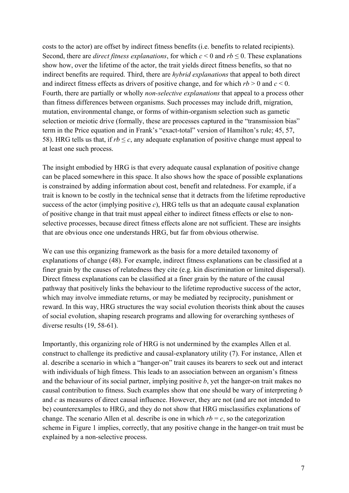costs to the actor) are offset by indirect fitness benefits (i.e. benefits to related recipients). Second, there are *direct fitness explanations*, for which  $c < 0$  and  $rb \le 0$ . These explanations show how, over the lifetime of the actor, the trait yields direct fitness benefits, so that no indirect benefits are required. Third, there are *hybrid explanations* that appeal to both direct and indirect fitness effects as drivers of positive change, and for which  $rb > 0$  and  $c < 0$ . Fourth, there are partially or wholly *non-selective explanations* that appeal to a process other than fitness differences between organisms. Such processes may include drift, migration, mutation, environmental change, or forms of within-organism selection such as gametic selection or meiotic drive (formally, these are processes captured in the "transmission bias" term in the Price equation and in Frank's "exact-total" version of Hamilton's rule; 45, 57, 58). HRG tells us that, if  $rb \leq c$ , any adequate explanation of positive change must appeal to at least one such process.

The insight embodied by HRG is that every adequate causal explanation of positive change can be placed somewhere in this space. It also shows how the space of possible explanations is constrained by adding information about cost, benefit and relatedness. For example, if a trait is known to be costly in the technical sense that it detracts from the lifetime reproductive success of the actor (implying positive *c*), HRG tells us that an adequate causal explanation of positive change in that trait must appeal either to indirect fitness effects or else to nonselective processes, because direct fitness effects alone are not sufficient. These are insights that are obvious once one understands HRG, but far from obvious otherwise.

We can use this organizing framework as the basis for a more detailed taxonomy of explanations of change (48). For example, indirect fitness explanations can be classified at a finer grain by the causes of relatedness they cite (e.g. kin discrimination or limited dispersal). Direct fitness explanations can be classified at a finer grain by the nature of the causal pathway that positively links the behaviour to the lifetime reproductive success of the actor, which may involve immediate returns, or may be mediated by reciprocity, punishment or reward. In this way, HRG structures the way social evolution theorists think about the causes of social evolution, shaping research programs and allowing for overarching syntheses of diverse results (19, 58-61).

Importantly, this organizing role of HRG is not undermined by the examples Allen et al. construct to challenge its predictive and causal-explanatory utility (7). For instance, Allen et al. describe a scenario in which a "hanger-on" trait causes its bearers to seek out and interact with individuals of high fitness. This leads to an association between an organism's fitness and the behaviour of its social partner, implying positive *b*, yet the hanger-on trait makes no causal contribution to fitness. Such examples show that one should be wary of interpreting *b* and *c* as measures of direct causal influence. However, they are not (and are not intended to be) counterexamples to HRG, and they do not show that HRG misclassifies explanations of change. The scenario Allen et al. describe is one in which  $rb = c$ , so the categorization scheme in Figure 1 implies, correctly, that any positive change in the hanger-on trait must be explained by a non-selective process.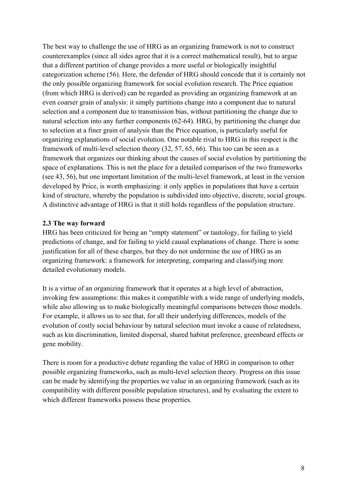The best way to challenge the use of HRG as an organizing framework is not to construct counterexamples (since all sides agree that it is a correct mathematical result), but to argue that a different partition of change provides a more useful or biologically insightful categorization scheme (56). Here, the defender of HRG should concede that it is certainly not the only possible organizing framework for social evolution research. The Price equation (from which HRG is derived) can be regarded as providing an organizing framework at an even coarser grain of analysis: it simply partitions change into a component due to natural selection and a component due to transmission bias, without partitioning the change due to natural selection into any further components (62-64). HRG, by partitioning the change due to selection at a finer grain of analysis than the Price equation, is particularly useful for organizing explanations of social evolution. One notable rival to HRG in this respect is the framework of multi-level selection theory (32, 57, 65, 66). This too can be seen as a framework that organizes our thinking about the causes of social evolution by partitioning the space of explanations. This is not the place for a detailed comparison of the two frameworks (see 43, 56), but one important limitation of the multi-level framework, at least in the version developed by Price, is worth emphasizing: it only applies in populations that have a certain kind of structure, whereby the population is subdivided into objective, discrete, social groups. A distinctive advantage of HRG is that it still holds regardless of the population structure.

### **2.3 The way forward**

HRG has been criticized for being an "empty statement" or tautology, for failing to yield predictions of change, and for failing to yield causal explanations of change. There is some justification for all of these charges, but they do not undermine the use of HRG as an organizing framework: a framework for interpreting, comparing and classifying more detailed evolutionary models.

It is a virtue of an organizing framework that it operates at a high level of abstraction, invoking few assumptions: this makes it compatible with a wide range of underlying models, while also allowing us to make biologically meaningful comparisons between those models. For example, it allows us to see that, for all their underlying differences, models of the evolution of costly social behaviour by natural selection must invoke a cause of relatedness, such as kin discrimination, limited dispersal, shared habitat preference, greenbeard effects or gene mobility.

There is room for a productive debate regarding the value of HRG in comparison to other possible organizing frameworks, such as multi-level selection theory. Progress on this issue can be made by identifying the properties we value in an organizing framework (such as its compatibility with different possible population structures), and by evaluating the extent to which different frameworks possess these properties.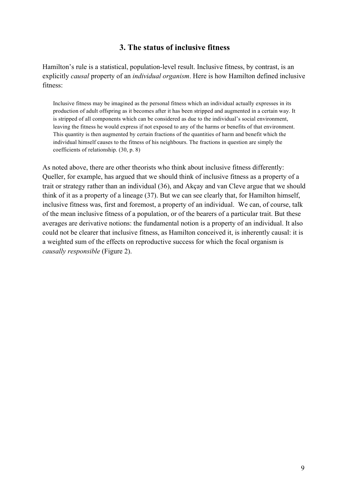## **3. The status of inclusive fitness**

Hamilton's rule is a statistical, population-level result. Inclusive fitness, by contrast, is an explicitly *causal* property of an *individual organism*. Here is how Hamilton defined inclusive fitness:

Inclusive fitness may be imagined as the personal fitness which an individual actually expresses in its production of adult offspring as it becomes after it has been stripped and augmented in a certain way. It is stripped of all components which can be considered as due to the individual's social environment, leaving the fitness he would express if not exposed to any of the harms or benefits of that environment. This quantity is then augmented by certain fractions of the quantities of harm and benefit which the individual himself causes to the fitness of his neighbours. The fractions in question are simply the coefficients of relationship. (30, p. 8)

As noted above, there are other theorists who think about inclusive fitness differently: Queller, for example, has argued that we should think of inclusive fitness as a property of a trait or strategy rather than an individual (36), and Akçay and van Cleve argue that we should think of it as a property of a lineage (37). But we can see clearly that, for Hamilton himself, inclusive fitness was, first and foremost, a property of an individual. We can, of course, talk of the mean inclusive fitness of a population, or of the bearers of a particular trait. But these averages are derivative notions: the fundamental notion is a property of an individual. It also could not be clearer that inclusive fitness, as Hamilton conceived it, is inherently causal: it is a weighted sum of the effects on reproductive success for which the focal organism is *causally responsible* (Figure 2).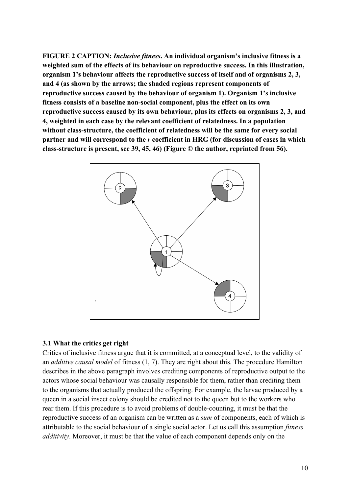**FIGURE 2 CAPTION:** *Inclusive fitness***. An individual organism's inclusive fitness is a weighted sum of the effects of its behaviour on reproductive success. In this illustration, organism 1's behaviour affects the reproductive success of itself and of organisms 2, 3, and 4 (as shown by the arrows; the shaded regions represent components of reproductive success caused by the behaviour of organism 1). Organism 1's inclusive fitness consists of a baseline non-social component, plus the effect on its own reproductive success caused by its own behaviour, plus its effects on organisms 2, 3, and 4, weighted in each case by the relevant coefficient of relatedness. In a population without class-structure, the coefficient of relatedness will be the same for every social partner and will correspond to the** *r* **coefficient in HRG (for discussion of cases in which class-structure is present, see 39, 45, 46) (Figure © the author, reprinted from 56).**



### **3.1 What the critics get right**

Critics of inclusive fitness argue that it is committed, at a conceptual level, to the validity of an *additive causal model* of fitness (1, 7). They are right about this. The procedure Hamilton describes in the above paragraph involves crediting components of reproductive output to the actors whose social behaviour was causally responsible for them, rather than crediting them to the organisms that actually produced the offspring. For example, the larvae produced by a queen in a social insect colony should be credited not to the queen but to the workers who rear them. If this procedure is to avoid problems of double-counting, it must be that the reproductive success of an organism can be written as a *sum* of components, each of which is attributable to the social behaviour of a single social actor. Let us call this assumption *fitness additivity*. Moreover, it must be that the value of each component depends only on the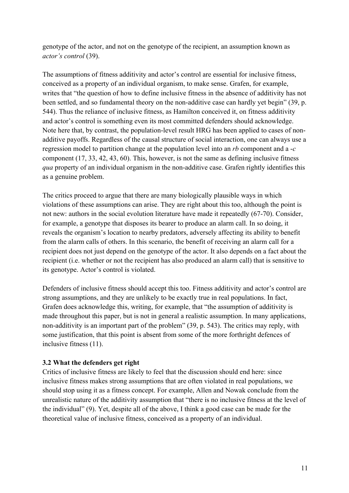genotype of the actor, and not on the genotype of the recipient, an assumption known as *actor's control* (39).

The assumptions of fitness additivity and actor's control are essential for inclusive fitness, conceived as a property of an individual organism, to make sense. Grafen, for example, writes that "the question of how to define inclusive fitness in the absence of additivity has not been settled, and so fundamental theory on the non-additive case can hardly yet begin" (39, p. 544). Thus the reliance of inclusive fitness, as Hamilton conceived it, on fitness additivity and actor's control is something even its most committed defenders should acknowledge. Note here that, by contrast, the population-level result HRG has been applied to cases of nonadditive payoffs. Regardless of the causal structure of social interaction, one can always use a regression model to partition change at the population level into an *rb* component and a -*c* component (17, 33, 42, 43, 60). This, however, is not the same as defining inclusive fitness *qua* property of an individual organism in the non-additive case. Grafen rightly identifies this as a genuine problem.

The critics proceed to argue that there are many biologically plausible ways in which violations of these assumptions can arise. They are right about this too, although the point is not new: authors in the social evolution literature have made it repeatedly (67-70). Consider, for example, a genotype that disposes its bearer to produce an alarm call. In so doing, it reveals the organism's location to nearby predators, adversely affecting its ability to benefit from the alarm calls of others. In this scenario, the benefit of receiving an alarm call for a recipient does not just depend on the genotype of the actor. It also depends on a fact about the recipient (i.e. whether or not the recipient has also produced an alarm call) that is sensitive to its genotype. Actor's control is violated.

Defenders of inclusive fitness should accept this too. Fitness additivity and actor's control are strong assumptions, and they are unlikely to be exactly true in real populations. In fact, Grafen does acknowledge this, writing, for example, that "the assumption of additivity is made throughout this paper, but is not in general a realistic assumption. In many applications, non-additivity is an important part of the problem" (39, p. 543). The critics may reply, with some justification, that this point is absent from some of the more forthright defences of inclusive fitness (11).

### **3.2 What the defenders get right**

Critics of inclusive fitness are likely to feel that the discussion should end here: since inclusive fitness makes strong assumptions that are often violated in real populations, we should stop using it as a fitness concept. For example, Allen and Nowak conclude from the unrealistic nature of the additivity assumption that "there is no inclusive fitness at the level of the individual" (9). Yet, despite all of the above, I think a good case can be made for the theoretical value of inclusive fitness, conceived as a property of an individual.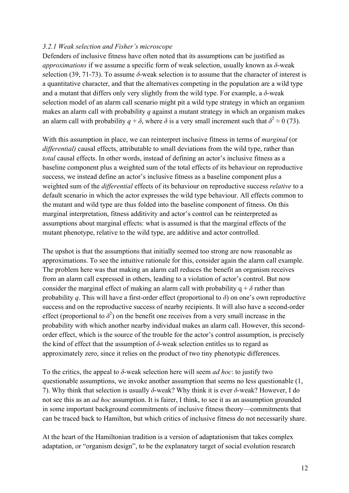### *3.2.1 Weak selection and Fisher's microscope*

Defenders of inclusive fitness have often noted that its assumptions can be justified as *approximations* if we assume a specific form of weak selection, usually known as *δ*-weak selection (39, 71-73). To assume *δ*-weak selection is to assume that the character of interest is a quantitative character, and that the alternatives competing in the population are a wild type and a mutant that differs only very slightly from the wild type. For example, a  $\delta$ -weak selection model of an alarm call scenario might pit a wild type strategy in which an organism makes an alarm call with probability *q* against a mutant strategy in which an organism makes an alarm call with probability  $q + \delta$ , where  $\delta$  is a very small increment such that  $\delta^2 \approx 0$  (73).

With this assumption in place, we can reinterpret inclusive fitness in terms of *marginal* (or *differential)* causal effects, attributable to small deviations from the wild type, rather than *total* causal effects. In other words, instead of defining an actor's inclusive fitness as a baseline component plus a weighted sum of the total effects of its behaviour on reproductive success, we instead define an actor's inclusive fitness as a baseline component plus a weighted sum of the *differential* effects of its behaviour on reproductive success *relative* to a default scenario in which the actor expresses the wild type behaviour. All effects common to the mutant and wild type are thus folded into the baseline component of fitness. On this marginal interpretation, fitness additivity and actor's control can be reinterpreted as assumptions about marginal effects: what is assumed is that the marginal effects of the mutant phenotype, relative to the wild type, are additive and actor controlled.

The upshot is that the assumptions that initially seemed too strong are now reasonable as approximations. To see the intuitive rationale for this, consider again the alarm call example. The problem here was that making an alarm call reduces the benefit an organism receives from an alarm call expressed in others, leading to a violation of actor's control. But now consider the marginal effect of making an alarm call with probability  $q + \delta$  rather than probability *q*. This will have a first-order effect (proportional to  $\delta$ ) on one's own reproductive success and on the reproductive success of nearby recipients. It will also have a second-order effect (proportional to  $\delta^2$ ) on the benefit one receives from a very small increase in the probability with which another nearby individual makes an alarm call. However, this secondorder effect, which is the source of the trouble for the actor's control assumption, is precisely the kind of effect that the assumption of *δ*-weak selection entitles us to regard as approximately zero, since it relies on the product of two tiny phenotypic differences.

To the critics, the appeal to *δ*-weak selection here will seem *ad hoc*: to justify two questionable assumptions, we invoke another assumption that seems no less questionable (1, 7). Why think that selection is usually *δ*-weak? Why think it is ever *δ*-weak? However, I do not see this as an *ad hoc* assumption. It is fairer, I think, to see it as an assumption grounded in some important background commitments of inclusive fitness theory—commitments that can be traced back to Hamilton, but which critics of inclusive fitness do not necessarily share.

At the heart of the Hamiltonian tradition is a version of adaptationism that takes complex adaptation, or "organism design", to be the explanatory target of social evolution research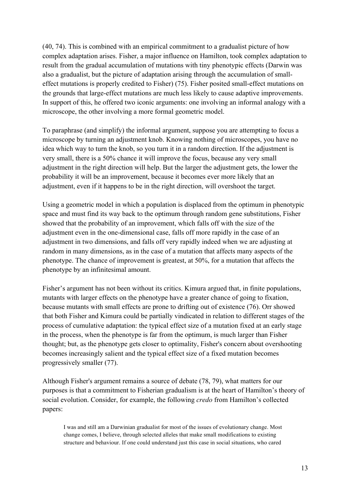(40, 74). This is combined with an empirical commitment to a gradualist picture of how complex adaptation arises. Fisher, a major influence on Hamilton, took complex adaptation to result from the gradual accumulation of mutations with tiny phenotypic effects (Darwin was also a gradualist, but the picture of adaptation arising through the accumulation of smalleffect mutations is properly credited to Fisher) (75). Fisher posited small-effect mutations on the grounds that large-effect mutations are much less likely to cause adaptive improvements. In support of this, he offered two iconic arguments: one involving an informal analogy with a microscope, the other involving a more formal geometric model.

To paraphrase (and simplify) the informal argument, suppose you are attempting to focus a microscope by turning an adjustment knob. Knowing nothing of microscopes, you have no idea which way to turn the knob, so you turn it in a random direction. If the adjustment is very small, there is a 50% chance it will improve the focus, because any very small adjustment in the right direction will help. But the larger the adjustment gets, the lower the probability it will be an improvement, because it becomes ever more likely that an adjustment, even if it happens to be in the right direction, will overshoot the target.

Using a geometric model in which a population is displaced from the optimum in phenotypic space and must find its way back to the optimum through random gene substitutions, Fisher showed that the probability of an improvement, which falls off with the size of the adjustment even in the one-dimensional case, falls off more rapidly in the case of an adjustment in two dimensions, and falls off very rapidly indeed when we are adjusting at random in many dimensions, as in the case of a mutation that affects many aspects of the phenotype. The chance of improvement is greatest, at 50%, for a mutation that affects the phenotype by an infinitesimal amount.

Fisher's argument has not been without its critics. Kimura argued that, in finite populations, mutants with larger effects on the phenotype have a greater chance of going to fixation, because mutants with small effects are prone to drifting out of existence (76). Orr showed that both Fisher and Kimura could be partially vindicated in relation to different stages of the process of cumulative adaptation: the typical effect size of a mutation fixed at an early stage in the process, when the phenotype is far from the optimum, is much larger than Fisher thought; but, as the phenotype gets closer to optimality, Fisher's concern about overshooting becomes increasingly salient and the typical effect size of a fixed mutation becomes progressively smaller (77).

Although Fisher's argument remains a source of debate (78, 79), what matters for our purposes is that a commitment to Fisherian gradualism is at the heart of Hamilton's theory of social evolution. Consider, for example, the following *credo* from Hamilton's collected papers:

I was and still am a Darwinian gradualist for most of the issues of evolutionary change. Most change comes, I believe, through selected alleles that make small modifications to existing structure and behaviour. If one could understand just this case in social situations, who cared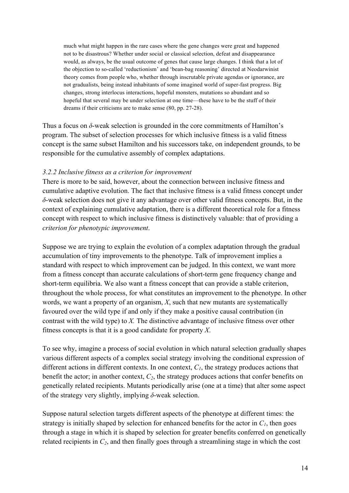much what might happen in the rare cases where the gene changes were great and happened not to be disastrous? Whether under social or classical selection, defeat and disappearance would, as always, be the usual outcome of genes that cause large changes. I think that a lot of the objection to so-called 'reductionism' and 'bean-bag reasoning' directed at Neodarwinist theory comes from people who, whether through inscrutable private agendas or ignorance, are not gradualists, being instead inhabitants of some imagined world of super-fast progress. Big changes, strong interlocus interactions, hopeful monsters, mutations so abundant and so hopeful that several may be under selection at one time—these have to be the stuff of their dreams if their criticisms are to make sense (80, pp. 27-28).

Thus a focus on *δ*-weak selection is grounded in the core commitments of Hamilton's program. The subset of selection processes for which inclusive fitness is a valid fitness concept is the same subset Hamilton and his successors take, on independent grounds, to be responsible for the cumulative assembly of complex adaptations.

#### *3.2.2 Inclusive fitness as a criterion for improvement*

There is more to be said, however, about the connection between inclusive fitness and cumulative adaptive evolution. The fact that inclusive fitness is a valid fitness concept under *δ*-weak selection does not give it any advantage over other valid fitness concepts. But, in the context of explaining cumulative adaptation, there is a different theoretical role for a fitness concept with respect to which inclusive fitness is distinctively valuable: that of providing a *criterion for phenotypic improvement*.

Suppose we are trying to explain the evolution of a complex adaptation through the gradual accumulation of tiny improvements to the phenotype. Talk of improvement implies a standard with respect to which improvement can be judged. In this context, we want more from a fitness concept than accurate calculations of short-term gene frequency change and short-term equilibria. We also want a fitness concept that can provide a stable criterion, throughout the whole process, for what constitutes an improvement to the phenotype. In other words, we want a property of an organism, *X*, such that new mutants are systematically favoured over the wild type if and only if they make a positive causal contribution (in contrast with the wild type) to *X.* The distinctive advantage of inclusive fitness over other fitness concepts is that it is a good candidate for property *X*.

To see why, imagine a process of social evolution in which natural selection gradually shapes various different aspects of a complex social strategy involving the conditional expression of different actions in different contexts. In one context, *C1*, the strategy produces actions that benefit the actor; in another context,  $C_2$ , the strategy produces actions that confer benefits on genetically related recipients. Mutants periodically arise (one at a time) that alter some aspect of the strategy very slightly, implying *δ*-weak selection.

Suppose natural selection targets different aspects of the phenotype at different times: the strategy is initially shaped by selection for enhanced benefits for the actor in *C1*, then goes through a stage in which it is shaped by selection for greater benefits conferred on genetically related recipients in  $C_2$ , and then finally goes through a streamlining stage in which the cost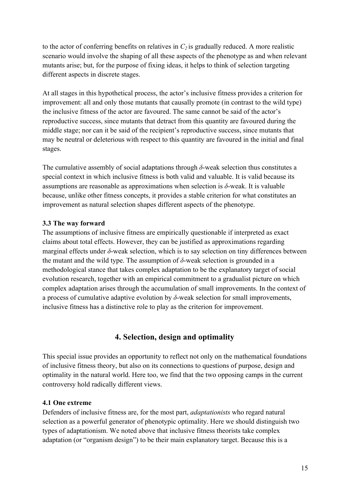to the actor of conferring benefits on relatives in  $C_2$  is gradually reduced. A more realistic scenario would involve the shaping of all these aspects of the phenotype as and when relevant mutants arise; but, for the purpose of fixing ideas, it helps to think of selection targeting different aspects in discrete stages.

At all stages in this hypothetical process, the actor's inclusive fitness provides a criterion for improvement: all and only those mutants that causally promote (in contrast to the wild type) the inclusive fitness of the actor are favoured. The same cannot be said of the actor's reproductive success, since mutants that detract from this quantity are favoured during the middle stage; nor can it be said of the recipient's reproductive success, since mutants that may be neutral or deleterious with respect to this quantity are favoured in the initial and final stages.

The cumulative assembly of social adaptations through *δ*-weak selection thus constitutes a special context in which inclusive fitness is both valid and valuable. It is valid because its assumptions are reasonable as approximations when selection is *δ*-weak. It is valuable because, unlike other fitness concepts, it provides a stable criterion for what constitutes an improvement as natural selection shapes different aspects of the phenotype.

### **3.3 The way forward**

The assumptions of inclusive fitness are empirically questionable if interpreted as exact claims about total effects. However, they can be justified as approximations regarding marginal effects under  $\delta$ -weak selection, which is to say selection on tiny differences between the mutant and the wild type. The assumption of  $\delta$ -weak selection is grounded in a methodological stance that takes complex adaptation to be the explanatory target of social evolution research, together with an empirical commitment to a gradualist picture on which complex adaptation arises through the accumulation of small improvements. In the context of a process of cumulative adaptive evolution by  $\delta$ -weak selection for small improvements, inclusive fitness has a distinctive role to play as the criterion for improvement.

## **4. Selection, design and optimality**

This special issue provides an opportunity to reflect not only on the mathematical foundations of inclusive fitness theory, but also on its connections to questions of purpose, design and optimality in the natural world. Here too, we find that the two opposing camps in the current controversy hold radically different views.

#### **4.1 One extreme**

Defenders of inclusive fitness are, for the most part, *adaptationists* who regard natural selection as a powerful generator of phenotypic optimality. Here we should distinguish two types of adaptationism. We noted above that inclusive fitness theorists take complex adaptation (or "organism design") to be their main explanatory target. Because this is a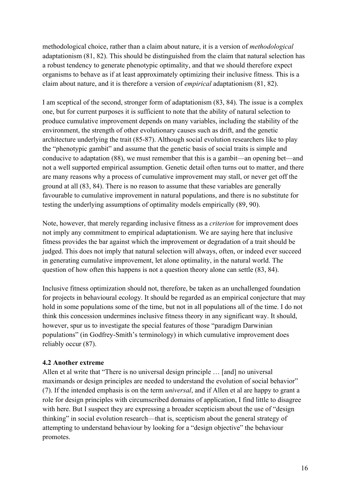methodological choice, rather than a claim about nature, it is a version of *methodological* adaptationism (81, 82). This should be distinguished from the claim that natural selection has a robust tendency to generate phenotypic optimality, and that we should therefore expect organisms to behave as if at least approximately optimizing their inclusive fitness. This is a claim about nature, and it is therefore a version of *empirical* adaptationism (81, 82).

I am sceptical of the second, stronger form of adaptationism (83, 84). The issue is a complex one, but for current purposes it is sufficient to note that the ability of natural selection to produce cumulative improvement depends on many variables, including the stability of the environment, the strength of other evolutionary causes such as drift, and the genetic architecture underlying the trait (85-87). Although social evolution researchers like to play the "phenotypic gambit" and assume that the genetic basis of social traits is simple and conducive to adaptation (88), we must remember that this is a gambit—an opening bet—and not a well supported empirical assumption. Genetic detail often turns out to matter, and there are many reasons why a process of cumulative improvement may stall, or never get off the ground at all (83, 84). There is no reason to assume that these variables are generally favourable to cumulative improvement in natural populations, and there is no substitute for testing the underlying assumptions of optimality models empirically (89, 90).

Note, however, that merely regarding inclusive fitness as a *criterion* for improvement does not imply any commitment to empirical adaptationism. We are saying here that inclusive fitness provides the bar against which the improvement or degradation of a trait should be judged. This does not imply that natural selection will always, often, or indeed ever succeed in generating cumulative improvement, let alone optimality, in the natural world. The question of how often this happens is not a question theory alone can settle (83, 84).

Inclusive fitness optimization should not, therefore, be taken as an unchallenged foundation for projects in behavioural ecology. It should be regarded as an empirical conjecture that may hold in some populations some of the time, but not in all populations all of the time. I do not think this concession undermines inclusive fitness theory in any significant way. It should, however, spur us to investigate the special features of those "paradigm Darwinian populations" (in Godfrey-Smith's terminology) in which cumulative improvement does reliably occur (87).

### **4.2 Another extreme**

Allen et al write that "There is no universal design principle … [and] no universal maximands or design principles are needed to understand the evolution of social behavior" (7). If the intended emphasis is on the term *universal*, and if Allen et al are happy to grant a role for design principles with circumscribed domains of application, I find little to disagree with here. But I suspect they are expressing a broader scepticism about the use of "design" thinking" in social evolution research—that is, scepticism about the general strategy of attempting to understand behaviour by looking for a "design objective" the behaviour promotes.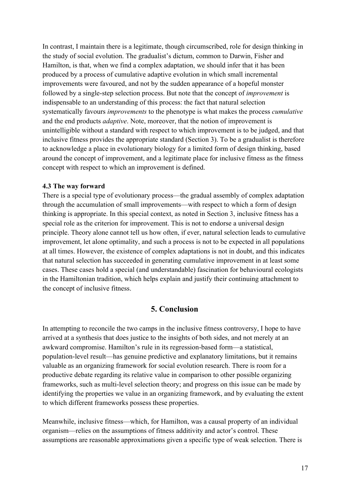In contrast, I maintain there is a legitimate, though circumscribed, role for design thinking in the study of social evolution. The gradualist's dictum, common to Darwin, Fisher and Hamilton, is that, when we find a complex adaptation, we should infer that it has been produced by a process of cumulative adaptive evolution in which small incremental improvements were favoured, and not by the sudden appearance of a hopeful monster followed by a single-step selection process. But note that the concept of *improvement* is indispensable to an understanding of this process: the fact that natural selection systematically favours *improvements* to the phenotype is what makes the process *cumulative* and the end products *adaptive*. Note, moreover, that the notion of improvement is unintelligible without a standard with respect to which improvement is to be judged, and that inclusive fitness provides the appropriate standard (Section 3). To be a gradualist is therefore to acknowledge a place in evolutionary biology for a limited form of design thinking, based around the concept of improvement, and a legitimate place for inclusive fitness as the fitness concept with respect to which an improvement is defined.

#### **4.3 The way forward**

There is a special type of evolutionary process—the gradual assembly of complex adaptation through the accumulation of small improvements—with respect to which a form of design thinking is appropriate. In this special context, as noted in Section 3, inclusive fitness has a special role as the criterion for improvement. This is not to endorse a universal design principle. Theory alone cannot tell us how often, if ever, natural selection leads to cumulative improvement, let alone optimality, and such a process is not to be expected in all populations at all times. However, the existence of complex adaptations is not in doubt, and this indicates that natural selection has succeeded in generating cumulative improvement in at least some cases. These cases hold a special (and understandable) fascination for behavioural ecologists in the Hamiltonian tradition, which helps explain and justify their continuing attachment to the concept of inclusive fitness.

## **5. Conclusion**

In attempting to reconcile the two camps in the inclusive fitness controversy, I hope to have arrived at a synthesis that does justice to the insights of both sides, and not merely at an awkward compromise. Hamilton's rule in its regression-based form—a statistical, population-level result—has genuine predictive and explanatory limitations, but it remains valuable as an organizing framework for social evolution research. There is room for a productive debate regarding its relative value in comparison to other possible organizing frameworks, such as multi-level selection theory; and progress on this issue can be made by identifying the properties we value in an organizing framework, and by evaluating the extent to which different frameworks possess these properties.

Meanwhile, inclusive fitness—which, for Hamilton, was a causal property of an individual organism—relies on the assumptions of fitness additivity and actor's control. These assumptions are reasonable approximations given a specific type of weak selection. There is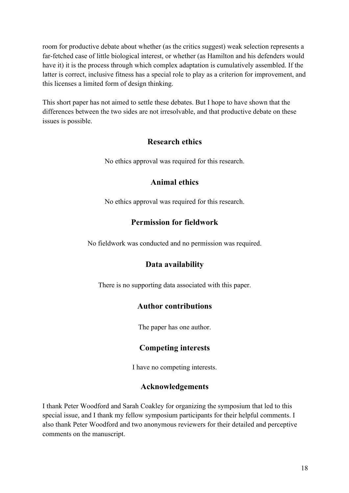room for productive debate about whether (as the critics suggest) weak selection represents a far-fetched case of little biological interest, or whether (as Hamilton and his defenders would have it) it is the process through which complex adaptation is cumulatively assembled. If the latter is correct, inclusive fitness has a special role to play as a criterion for improvement, and this licenses a limited form of design thinking.

This short paper has not aimed to settle these debates. But I hope to have shown that the differences between the two sides are not irresolvable, and that productive debate on these issues is possible.

## **Research ethics**

No ethics approval was required for this research.

## **Animal ethics**

No ethics approval was required for this research.

# **Permission for fieldwork**

No fieldwork was conducted and no permission was required.

# **Data availability**

There is no supporting data associated with this paper.

# **Author contributions**

The paper has one author.

## **Competing interests**

I have no competing interests.

# **Acknowledgements**

I thank Peter Woodford and Sarah Coakley for organizing the symposium that led to this special issue, and I thank my fellow symposium participants for their helpful comments. I also thank Peter Woodford and two anonymous reviewers for their detailed and perceptive comments on the manuscript.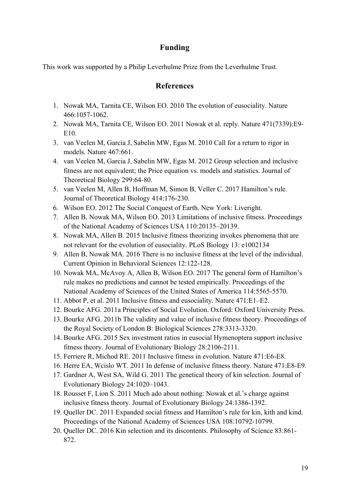## **Funding**

This work was supported by a Philip Leverhulme Prize from the Leverhulme Trust.

## **References**

- 1. Nowak MA, Tarnita CE, Wilson EO. 2010 The evolution of eusociality. Nature 466:1057-1062.
- 2. Nowak MA, Tarnita CE, Wilson EO. 2011 Nowak et al. reply. Nature 471(7339):E9- E<sub>10</sub>
- 3. van Veelen M, Garcia J, Sabelin MW, Egas M. 2010 Call for a return to rigor in models. Nature 467:661.
- 4. van Veelen M, Garcia J, Sabelin MW, Egas M. 2012 Group selection and inclusive fitness are not equivalent; the Price equation vs. models and statistics. Journal of Theoretical Biology 299:64-80.
- 5. van Veelen M, Allen B, Hoffman M, Simon B, Veller C. 2017 Hamilton's rule. Journal of Theoretical Biology 414:176-230.
- 6. Wilson EO. 2012 The Social Conquest of Earth. New York: Liveright.
- 7. Allen B, Nowak MA, Wilson EO. 2013 Limitations of inclusive fitness. Proceedings of the National Academy of Sciences USA 110:20135–20139.
- 8. Nowak MA, Allen B. 2015 Inclusive fitness theorizing invokes phenomena that are not relevant for the evolution of eusociality. PLoS Biology 13: e1002134
- 9. Allen B, Nowak MA. 2016 There is no inclusive fitness at the level of the individual. Current Opinion in Behavioral Sciences 12:122-128.
- 10. Nowak MA, McAvoy A, Allen B, Wilson EO. 2017 The general form of Hamilton's rule makes no predictions and cannot be tested empirically. Proceedings of the National Academy of Sciences of the United States of America 114:5565-5570.
- 11. Abbot P, et al. 2011 Inclusive fitness and eusociality. Nature 471:E1–E2.
- 12. Bourke AFG. 2011a Principles of Social Evolution. Oxford: Oxford University Press.
- 13. Bourke AFG. 2011b The validity and value of inclusive fitness theory. Proceedings of the Royal Society of London B: Biological Sciences 278:3313-3320.
- 14. Bourke AFG. 2015 Sex investment ratios in eusocial Hymenoptera support inclusive fitness theory. Journal of Evolutionary Biology 28:2106-2111.
- 15. Ferriere R, Michod RE. 2011 Inclusive fitness in evolution. Nature 471:E6-E8.
- 16. Herre EA, Wcislo WT. 2011 In defense of inclusive fitness theory. Nature 471:E8-E9.
- 17. Gardner A, West SA, Wild G. 2011 The genetical theory of kin selection. Journal of Evolutionary Biology 24:1020–1043.
- 18. Rousset F, Lion S. 2011 Much ado about nothing: Nowak et al.'s charge against inclusive fitness theory. Journal of Evolutionary Biology 24:1386-1392.
- 19. Queller DC. 2011 Expanded social fitness and Hamilton's rule for kin, kith and kind. Proceedings of the National Academy of Sciences USA 108:10792-10799.
- 20. Queller DC. 2016 Kin selection and its discontents. Philosophy of Science 83:861- 872.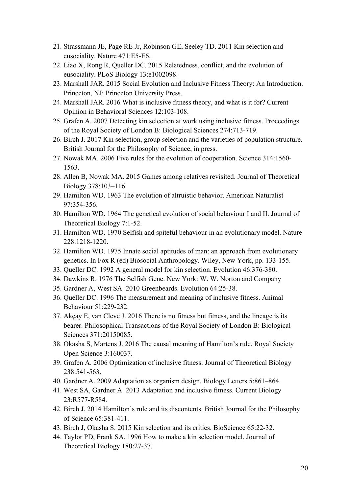- 21. Strassmann JE, Page RE Jr, Robinson GE, Seeley TD. 2011 Kin selection and eusociality. Nature 471:E5-E6.
- 22. Liao X, Rong R, Queller DC. 2015 Relatedness, conflict, and the evolution of eusociality. PLoS Biology 13:e1002098.
- 23. Marshall JAR. 2015 Social Evolution and Inclusive Fitness Theory: An Introduction. Princeton, NJ: Princeton University Press.
- 24. Marshall JAR. 2016 What is inclusive fitness theory, and what is it for? Current Opinion in Behavioral Sciences 12:103-108.
- 25. Grafen A. 2007 Detecting kin selection at work using inclusive fitness. Proceedings of the Royal Society of London B: Biological Sciences 274:713-719.
- 26. Birch J. 2017 Kin selection, group selection and the varieties of population structure. British Journal for the Philosophy of Science, in press.
- 27. Nowak MA. 2006 Five rules for the evolution of cooperation. Science 314:1560- 1563.
- 28. Allen B, Nowak MA. 2015 Games among relatives revisited. Journal of Theoretical Biology 378:103–116.
- 29. Hamilton WD. 1963 The evolution of altruistic behavior. American Naturalist 97:354-356.
- 30. Hamilton WD. 1964 The genetical evolution of social behaviour I and II. Journal of Theoretical Biology 7:1-52.
- 31. Hamilton WD. 1970 Selfish and spiteful behaviour in an evolutionary model. Nature 228:1218-1220.
- 32. Hamilton WD. 1975 Innate social aptitudes of man: an approach from evolutionary genetics. In Fox R (ed) Biosocial Anthropology. Wiley, New York, pp. 133-155.
- 33. Queller DC. 1992 A general model for kin selection. Evolution 46:376-380.
- 34. Dawkins R. 1976 The Selfish Gene. New York: W. W. Norton and Company
- 35. Gardner A, West SA. 2010 Greenbeards. Evolution 64:25-38.
- 36. Queller DC. 1996 The measurement and meaning of inclusive fitness. Animal Behaviour 51:229-232.
- 37. Akçay E, van Cleve J. 2016 There is no fitness but fitness, and the lineage is its bearer. Philosophical Transactions of the Royal Society of London B: Biological Sciences 371:20150085.
- 38. Okasha S, Martens J. 2016 The causal meaning of Hamilton's rule. Royal Society Open Science 3:160037.
- 39. Grafen A. 2006 Optimization of inclusive fitness. Journal of Theoretical Biology 238:541-563.
- 40. Gardner A. 2009 Adaptation as organism design. Biology Letters 5:861–864.
- 41. West SA, Gardner A. 2013 Adaptation and inclusive fitness. Current Biology 23:R577-R584.
- 42. Birch J. 2014 Hamilton's rule and its discontents. British Journal for the Philosophy of Science 65:381-411.
- 43. Birch J, Okasha S. 2015 Kin selection and its critics. BioScience 65:22-32.
- 44. Taylor PD, Frank SA. 1996 How to make a kin selection model. Journal of Theoretical Biology 180:27-37.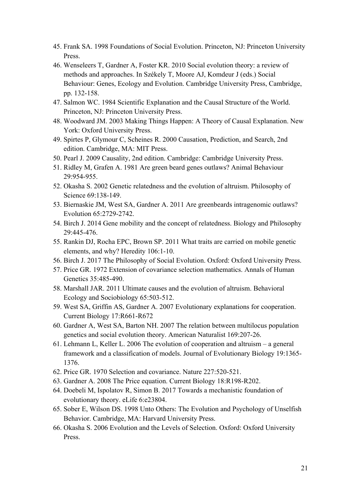- 45. Frank SA. 1998 Foundations of Social Evolution. Princeton, NJ: Princeton University Press.
- 46. Wenseleers T, Gardner A, Foster KR. 2010 Social evolution theory: a review of methods and approaches. In Székely T, Moore AJ, Komdeur J (eds.) Social Behaviour: Genes, Ecology and Evolution. Cambridge University Press, Cambridge, pp. 132-158.
- 47. Salmon WC. 1984 Scientific Explanation and the Causal Structure of the World. Princeton, NJ: Princeton University Press.
- 48. Woodward JM. 2003 Making Things Happen: A Theory of Causal Explanation. New York: Oxford University Press.
- 49. Spirtes P, Glymour C, Scheines R. 2000 Causation, Prediction, and Search, 2nd edition. Cambridge, MA: MIT Press.
- 50. Pearl J. 2009 Causality, 2nd edition. Cambridge: Cambridge University Press.
- 51. Ridley M, Grafen A. 1981 Are green beard genes outlaws? Animal Behaviour 29:954-955.
- 52. Okasha S. 2002 Genetic relatedness and the evolution of altruism. Philosophy of Science 69:138-149.
- 53. Biernaskie JM, West SA, Gardner A. 2011 Are greenbeards intragenomic outlaws? Evolution 65:2729-2742.
- 54. Birch J. 2014 Gene mobility and the concept of relatedness. Biology and Philosophy 29:445-476.
- 55. Rankin DJ, Rocha EPC, Brown SP. 2011 What traits are carried on mobile genetic elements, and why? Heredity 106:1-10.
- 56. Birch J. 2017 The Philosophy of Social Evolution. Oxford: Oxford University Press.
- 57. Price GR. 1972 Extension of covariance selection mathematics. Annals of Human Genetics 35:485-490.
- 58. Marshall JAR. 2011 Ultimate causes and the evolution of altruism. Behavioral Ecology and Sociobiology 65:503-512.
- 59. West SA, Griffin AS, Gardner A. 2007 Evolutionary explanations for cooperation. Current Biology 17:R661-R672
- 60. Gardner A, West SA, Barton NH. 2007 The relation between multilocus population genetics and social evolution theory. American Naturalist 169:207-26.
- 61. Lehmann L, Keller L. 2006 The evolution of cooperation and altruism a general framework and a classification of models. Journal of Evolutionary Biology 19:1365- 1376.
- 62. Price GR. 1970 Selection and covariance. Nature 227:520-521.
- 63. Gardner A. 2008 The Price equation. Current Biology 18:R198-R202.
- 64. Doebeli M, Ispolatov R, Simon B. 2017 Towards a mechanistic foundation of evolutionary theory. eLife 6:e23804.
- 65. Sober E, Wilson DS. 1998 Unto Others: The Evolution and Psychology of Unselfish Behavior. Cambridge, MA: Harvard University Press.
- 66. Okasha S. 2006 Evolution and the Levels of Selection. Oxford: Oxford University Press.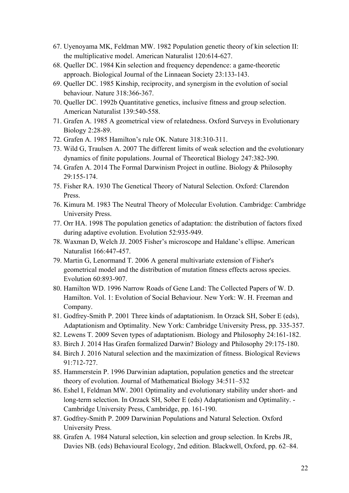- 67. Uyenoyama MK, Feldman MW. 1982 Population genetic theory of kin selection II: the multiplicative model. American Naturalist 120:614-627.
- 68. Queller DC. 1984 Kin selection and frequency dependence: a game-theoretic approach. Biological Journal of the Linnaean Society 23:133-143.
- 69. Queller DC. 1985 Kinship, reciprocity, and synergism in the evolution of social behaviour. Nature 318:366-367.
- 70. Queller DC. 1992b Quantitative genetics, inclusive fitness and group selection. American Naturalist 139:540-558.
- 71. Grafen A. 1985 A geometrical view of relatedness. Oxford Surveys in Evolutionary Biology 2:28-89.
- 72. Grafen A. 1985 Hamilton's rule OK. Nature 318:310-311.
- 73. Wild G, Traulsen A. 2007 The different limits of weak selection and the evolutionary dynamics of finite populations. Journal of Theoretical Biology 247:382-390.
- 74. Grafen A. 2014 The Formal Darwinism Project in outline. Biology & Philosophy 29:155-174.
- 75. Fisher RA. 1930 The Genetical Theory of Natural Selection. Oxford: Clarendon Press.
- 76. Kimura M. 1983 The Neutral Theory of Molecular Evolution. Cambridge: Cambridge University Press.
- 77. Orr HA. 1998 The population genetics of adaptation: the distribution of factors fixed during adaptive evolution. Evolution 52:935-949.
- 78. Waxman D, Welch JJ. 2005 Fisher's microscope and Haldane's ellipse. American Naturalist 166:447-457.
- 79. Martin G, Lenormand T. 2006 A general multivariate extension of Fisher's geometrical model and the distribution of mutation fitness effects across species. Evolution 60:893-907.
- 80. Hamilton WD. 1996 Narrow Roads of Gene Land: The Collected Papers of W. D. Hamilton. Vol. 1: Evolution of Social Behaviour. New York: W. H. Freeman and Company.
- 81. Godfrey-Smith P. 2001 Three kinds of adaptationism. In Orzack SH, Sober E (eds), Adaptationism and Optimality. New York: Cambridge University Press, pp. 335-357.
- 82. Lewens T. 2009 Seven types of adaptationism. Biology and Philosophy 24:161-182.
- 83. Birch J. 2014 Has Grafen formalized Darwin? Biology and Philosophy 29:175-180.
- 84. Birch J. 2016 Natural selection and the maximization of fitness. Biological Reviews 91:712-727.
- 85. Hammerstein P. 1996 Darwinian adaptation, population genetics and the streetcar theory of evolution. Journal of Mathematical Biology 34:511–532
- 86. Eshel I, Feldman MW. 2001 Optimality and evolutionary stability under short- and long-term selection. In Orzack SH, Sober E (eds) Adaptationism and Optimality. - Cambridge University Press, Cambridge, pp. 161-190.
- 87. Godfrey-Smith P. 2009 Darwinian Populations and Natural Selection. Oxford University Press.
- 88. Grafen A. 1984 Natural selection, kin selection and group selection. In Krebs JR, Davies NB. (eds) Behavioural Ecology, 2nd edition. Blackwell, Oxford, pp. 62–84.